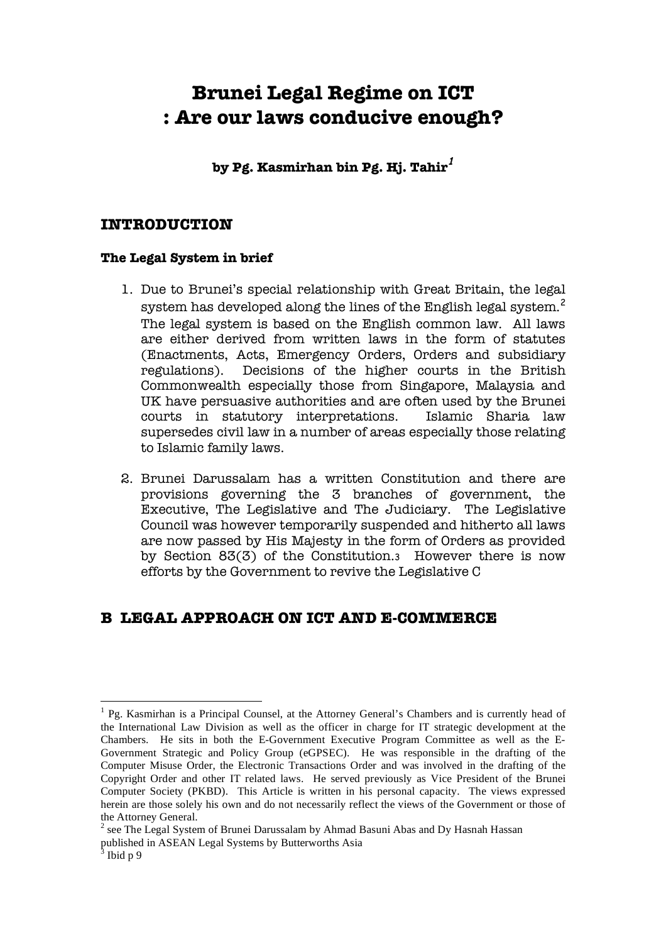# **Brunei Legal Regime on ICT : Are our laws conducive enough?**

**by Pg. Kasmirhan bin Pg. Hj. Tahir<sup>1</sup>**

### **INTRODUCTION**

#### **The Legal System in brief**

- 1. Due to Brunei's special relationship with Great Britain, the legal system has developed along the lines of the English legal system. $^{\mathsf{2}}$ The legal system is based on the English common law. All laws are either derived from written laws in the form of statutes (Enactments, Acts, Emergency Orders, Orders and subsidiary regulations). Decisions of the higher courts in the British Commonwealth especially those from Singapore, Malaysia and UK have persuasive authorities and are often used by the Brunei courts in statutory interpretations. Islamic Sharia law supersedes civil law in a number of areas especially those relating to Islamic family laws.
- 2. Brunei Darussalam has a written Constitution and there are provisions governing the 3 branches of government, the Executive, The Legislative and The Judiciary. The Legislative Council was however temporarily suspended and hitherto all laws are now passed by His Majesty in the form of Orders as provided by Section 83(3) of the Constitution.3 However there is now efforts by the Government to revive the Legislative C

# **B LEGAL APPROACH ON ICT AND E-COMMERCE**

 $\overline{a}$ 

<sup>&</sup>lt;sup>1</sup> Pg. Kasmirhan is a Principal Counsel, at the Attorney General's Chambers and is currently head of the International Law Division as well as the officer in charge for IT strategic development at the Chambers. He sits in both the E-Government Executive Program Committee as well as the E-Government Strategic and Policy Group (eGPSEC). He was responsible in the drafting of the Computer Misuse Order, the Electronic Transactions Order and was involved in the drafting of the Copyright Order and other IT related laws. He served previously as Vice President of the Brunei Computer Society (PKBD). This Article is written in his personal capacity. The views expressed herein are those solely his own and do not necessarily reflect the views of the Government or those of the Attorney General.

 $2$  see The Legal System of Brunei Darussalam by Ahmad Basuni Abas and Dy Hasnah Hassan

published in ASEAN Legal Systems by Butterworths Asia<br><sup>3</sup> Ibid a 0

Ibid p 9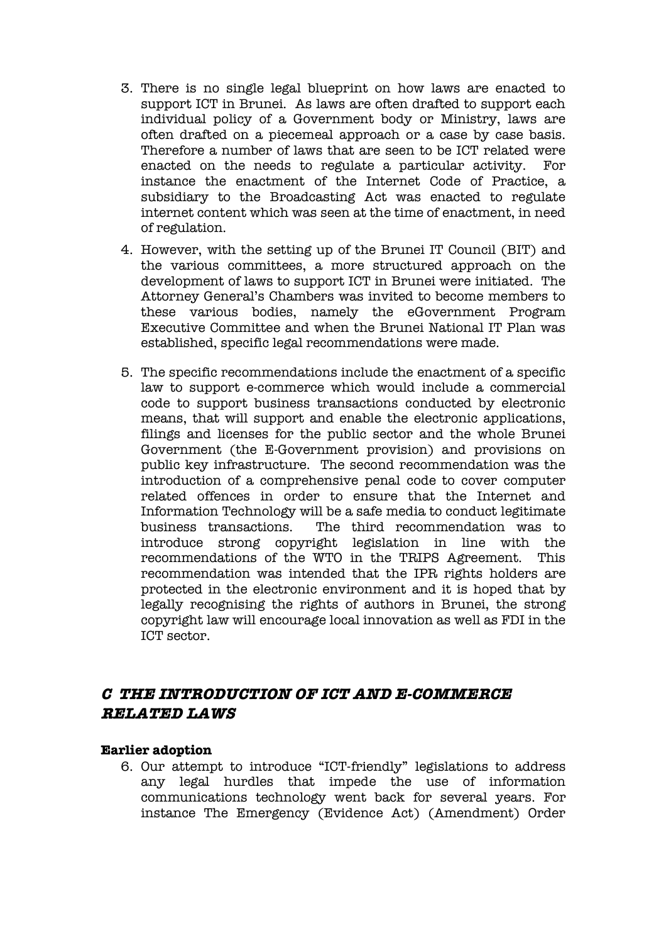- 3. There is no single legal blueprint on how laws are enacted to support ICT in Brunei. As laws are often drafted to support each individual policy of a Government body or Ministry, laws are often drafted on a piecemeal approach or a case by case basis. Therefore a number of laws that are seen to be ICT related were enacted on the needs to regulate a particular activity. For instance the enactment of the Internet Code of Practice, a subsidiary to the Broadcasting Act was enacted to regulate internet content which was seen at the time of enactment, in need of regulation.
- 4. However, with the setting up of the Brunei IT Council (BIT) and the various committees, a more structured approach on the development of laws to support ICT in Brunei were initiated. The Attorney General's Chambers was invited to become members to these various bodies, namely the eGovernment Program Executive Committee and when the Brunei National IT Plan was established, specific legal recommendations were made.
- 5. The specific recommendations include the enactment of a specific law to support e-commerce which would include a commercial code to support business transactions conducted by electronic means, that will support and enable the electronic applications, filings and licenses for the public sector and the whole Brunei Government (the E-Government provision) and provisions on public key infrastructure. The second recommendation was the introduction of a comprehensive penal code to cover computer related offences in order to ensure that the Internet and Information Technology will be a safe media to conduct legitimate business transactions. The third recommendation was to introduce strong copyright legislation in line with the recommendations of the WTO in the TRIPS Agreement. This recommendation was intended that the IPR rights holders are protected in the electronic environment and it is hoped that by legally recognising the rights of authors in Brunei, the strong copyright law will encourage local innovation as well as FDI in the ICT sector.

# **C THE INTRODUCTION OF ICT AND E-COMMERCE RELATED LAWS**

#### **Earlier adoption**

6. Our attempt to introduce "ICT-friendly" legislations to address any legal hurdles that impede the use of information communications technology went back for several years. For instance The Emergency (Evidence Act) (Amendment) Order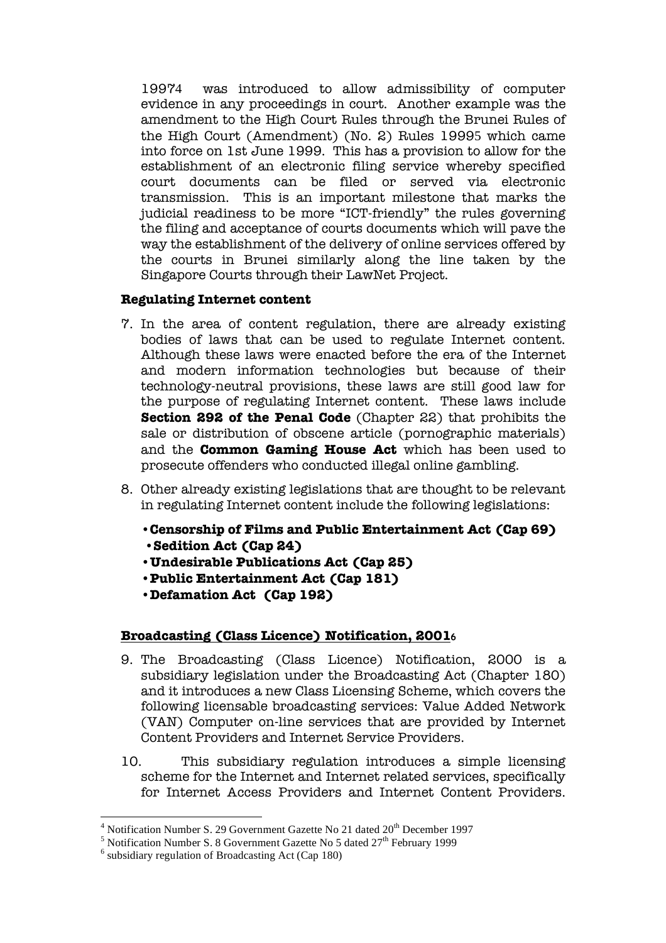19974 was introduced to allow admissibility of computer evidence in any proceedings in court. Another example was the amendment to the High Court Rules through the Brunei Rules of the High Court (Amendment) (No. 2) Rules 19995 which came into force on 1st June 1999. This has a provision to allow for the establishment of an electronic filing service whereby specified court documents can be filed or served via electronic transmission. This is an important milestone that marks the judicial readiness to be more "ICT-friendly" the rules governing the filing and acceptance of courts documents which will pave the way the establishment of the delivery of online services offered by the courts in Brunei similarly along the line taken by the Singapore Courts through their LawNet Project.

#### **Regulating Internet content**

- 7. In the area of content regulation, there are already existing bodies of laws that can be used to regulate Internet content. Although these laws were enacted before the era of the Internet and modern information technologies but because of their technology-neutral provisions, these laws are still good law for the purpose of regulating Internet content. These laws include **Section 292 of the Penal Code** (Chapter 22) that prohibits the sale or distribution of obscene article (pornographic materials) and the **Common Gaming House Act** which has been used to prosecute offenders who conducted illegal online gambling.
- 8. Other already existing legislations that are thought to be relevant in regulating Internet content include the following legislations:
	- •**Censorship of Films and Public Entertainment Act (Cap 69)**
	- **•Sedition Act (Cap 24)**
	- **•Undesirable Publications Act (Cap 25)**
	- **•Public Entertainment Act (Cap 181)**
	- **•Defamation Act (Cap 192)**

#### **Broadcasting (Class Licence) Notification, 2001<sup>6</sup>**

- 9. The Broadcasting (Class Licence) Notification, 2000 is a subsidiary legislation under the Broadcasting Act (Chapter 180) and it introduces a new Class Licensing Scheme, which covers the following licensable broadcasting services: Value Added Network (VAN) Computer on-line services that are provided by Internet Content Providers and Internet Service Providers.
- 10. This subsidiary regulation introduces a simple licensing scheme for the Internet and Internet related services, specifically for Internet Access Providers and Internet Content Providers.

 $\overline{a}$ 

<sup>&</sup>lt;sup>4</sup> Notification Number S. 29 Government Gazette No 21 dated  $20^{th}$  December 1997

<sup>&</sup>lt;sup>5</sup> Notification Number S. 8 Government Gazette No 5 dated  $27<sup>th</sup>$  February 1999

 $6$  subsidiary regulation of Broadcasting Act (Cap 180)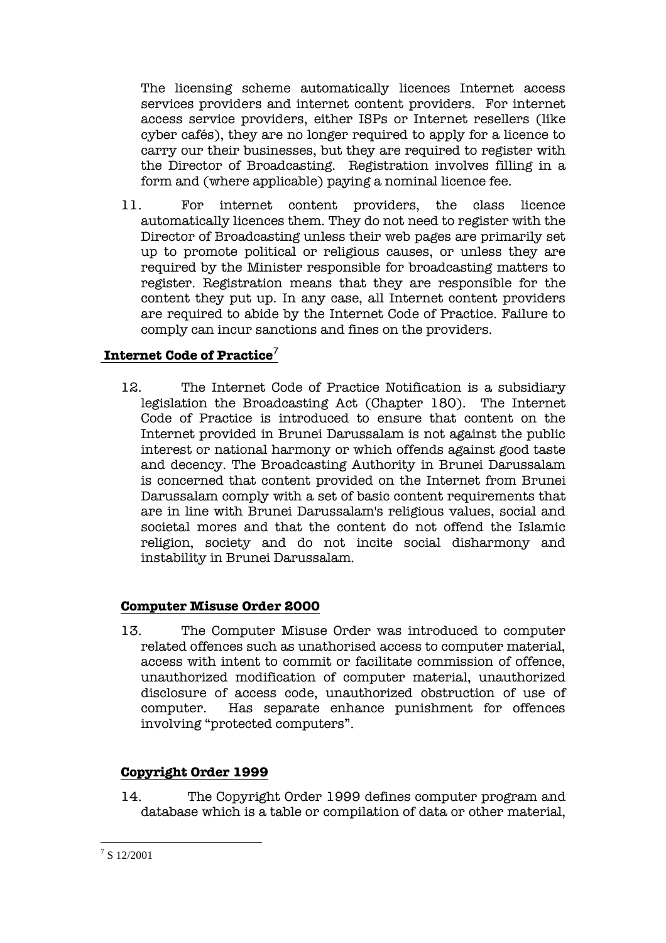The licensing scheme automatically licences Internet access services providers and internet content providers. For internet access service providers, either ISPs or Internet resellers (like cyber cafés), they are no longer required to apply for a licence to carry our their businesses, but they are required to register with the Director of Broadcasting. Registration involves filling in a form and (where applicable) paying a nominal licence fee.

11. For internet content providers, the class licence automatically licences them. They do not need to register with the Director of Broadcasting unless their web pages are primarily set up to promote political or religious causes, or unless they are required by the Minister responsible for broadcasting matters to register. Registration means that they are responsible for the content they put up. In any case, all Internet content providers are required to abide by the Internet Code of Practice. Failure to comply can incur sanctions and fines on the providers.

## **Internet Code of Practice**<sup>7</sup>

12. The Internet Code of Practice Notification is a subsidiary legislation the Broadcasting Act (Chapter 180). The Internet Code of Practice is introduced to ensure that content on the Internet provided in Brunei Darussalam is not against the public interest or national harmony or which offends against good taste and decency. The Broadcasting Authority in Brunei Darussalam is concerned that content provided on the Internet from Brunei Darussalam comply with a set of basic content requirements that are in line with Brunei Darussalam's religious values, social and societal mores and that the content do not offend the Islamic religion, society and do not incite social disharmony and instability in Brunei Darussalam.

## **Computer Misuse Order 2000**

13. The Computer Misuse Order was introduced to computer related offences such as unathorised access to computer material, access with intent to commit or facilitate commission of offence, unauthorized modification of computer material, unauthorized disclosure of access code, unauthorized obstruction of use of computer. Has separate enhance punishment for offences involving "protected computers".

# **Copyright Order 1999**

14. The Copyright Order 1999 defines computer program and database which is a table or compilation of data or other material,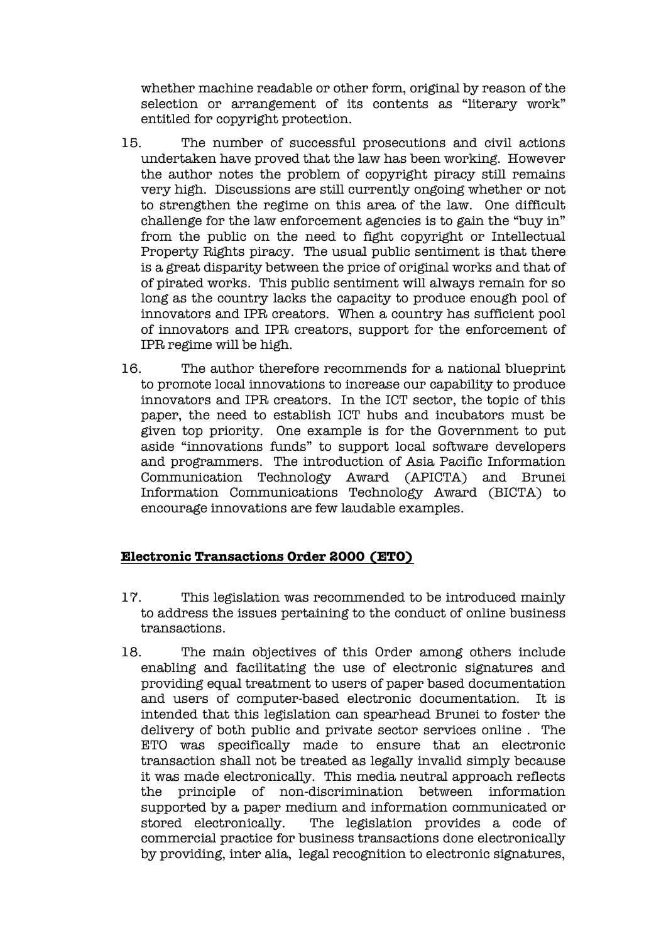whether machine readable or other form, original by reason of the selection or arrangement of its contents as "literary work" entitled for copyright protection.

- 15. The number of successful prosecutions and civil actions undertaken have proved that the law has been working. However the author notes the problem of copyright piracy still remains very high. Discussions are still currently ongoing whether or not to strengthen the regime on this area of the law. One difficult challenge for the law enforcement agencies is to gain the "buy in" from the public on the need to fight copyright or Intellectual Property Rights piracy. The usual public sentiment is that there is a great disparity between the price of original works and that of of pirated works. This public sentiment will always remain for so long as the country lacks the capacity to produce enough pool of innovators and IPR creators. When a country has sufficient pool of innovators and IPR creators, support for the enforcement of IPR regime will be high.
- 16. The author therefore recommends for a national blueprint to promote local innovations to increase our capability to produce innovators and IPR creators. In the ICT sector, the topic of this paper, the need to establish ICT hubs and incubators must be given top priority. One example is for the Government to put aside "innovations funds" to support local software developers and programmers. The introduction of Asia Pacific Information Communication Technology Award (APICTA) and Brunei Information Communications Technology Award (BICTA) to encourage innovations are few laudable examples.

#### **Electronic Transactions Order 2000 (ETO)**

- 17. This legislation was recommended to be introduced mainly to address the issues pertaining to the conduct of online business transactions.
- 18. The main objectives of this Order among others include enabling and facilitating the use of electronic signatures and providing equal treatment to users of paper based documentation and users of computer-based electronic documentation. It is intended that this legislation can spearhead Brunei to foster the delivery of both public and private sector services online . The ETO was specifically made to ensure that an electronic transaction shall not be treated as legally invalid simply because it was made electronically. This media neutral approach reflects the principle of non-discrimination between information supported by a paper medium and information communicated or stored electronically. The legislation provides a code of commercial practice for business transactions done electronically by providing, inter alia, legal recognition to electronic signatures,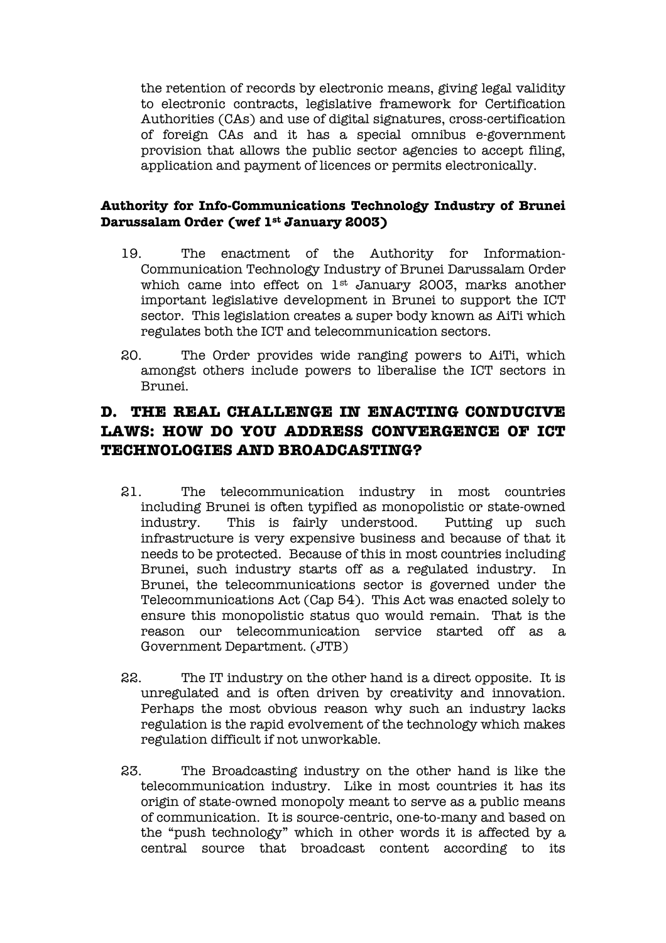the retention of records by electronic means, giving legal validity to electronic contracts, legislative framework for Certification Authorities (CAs) and use of digital signatures, cross-certification of foreign CAs and it has a special omnibus e-government provision that allows the public sector agencies to accept filing, application and payment of licences or permits electronically.

#### **Authority for Info-Communications Technology Industry of Brunei Darussalam Order (wef 1st January 2003)**

- 19. The enactment of the Authority for Information-Communication Technology Industry of Brunei Darussalam Order which came into effect on 1st January 2003, marks another important legislative development in Brunei to support the ICT sector. This legislation creates a super body known as AiTi which regulates both the ICT and telecommunication sectors.
- 20. The Order provides wide ranging powers to AiTi, which amongst others include powers to liberalise the ICT sectors in Brunei.

# **D. THE REAL CHALLENGE IN ENACTING CONDUCIVE LAWS: HOW DO YOU ADDRESS CONVERGENCE OF ICT TECHNOLOGIES AND BROADCASTING?**

- 21. The telecommunication industry in most countries including Brunei is often typified as monopolistic or state-owned industry. This is fairly understood. Putting up such infrastructure is very expensive business and because of that it needs to be protected. Because of this in most countries including Brunei, such industry starts off as a regulated industry. In Brunei, the telecommunications sector is governed under the Telecommunications Act (Cap 54). This Act was enacted solely to ensure this monopolistic status quo would remain. That is the reason our telecommunication service started off as a Government Department. (JTB)
- 22. The IT industry on the other hand is a direct opposite. It is unregulated and is often driven by creativity and innovation. Perhaps the most obvious reason why such an industry lacks regulation is the rapid evolvement of the technology which makes regulation difficult if not unworkable.
- 23. The Broadcasting industry on the other hand is like the telecommunication industry. Like in most countries it has its origin of state-owned monopoly meant to serve as a public means of communication. It is source-centric, one-to-many and based on the "push technology" which in other words it is affected by a central source that broadcast content according to its